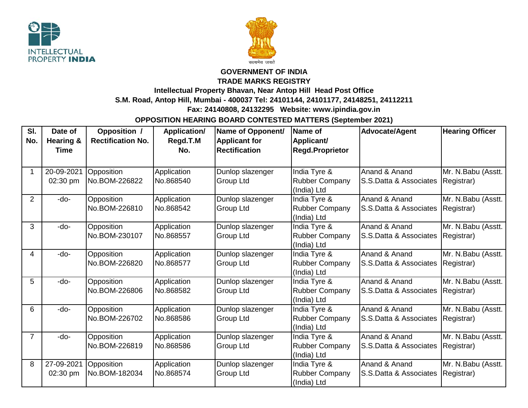



## **GOVERNMENT OF INDIA**

**TRADE MARKS REGISTRY**

**Intellectual Property Bhavan, Near Antop Hill Head Post Office** 

**S.M. Road, Antop Hill, Mumbai - 400037 Tel: 24101144, 24101177, 24148251, 24112211**

 **Fax: 24140808, 24132295 Website: www.ipindia.gov.in**

**OPPOSITION HEARING BOARD CONTESTED MATTERS (September 2021)**

| SI.<br>No.     | Date of<br>Hearing &<br>Time | Opposition /<br><b>Rectification No.</b> | <b>Application/</b><br>Regd.T.M<br>No. | Name of Opponent/<br><b>Applicant for</b><br><b>Rectification</b> | Name of<br>Applicant/<br><b>Regd.Proprietor</b>      | <b>Advocate/Agent</b>                    | <b>Hearing Officer</b>           |
|----------------|------------------------------|------------------------------------------|----------------------------------------|-------------------------------------------------------------------|------------------------------------------------------|------------------------------------------|----------------------------------|
| 1              | 20-09-2021<br>02:30 pm       | Opposition<br>No.BOM-226822              | Application<br>No.868540               | Dunlop slazenger<br>Group Ltd                                     | India Tyre &<br><b>Rubber Company</b><br>(India) Ltd | Anand & Anand<br>S.S.Datta & Associates  | Mr. N.Babu (Asstt.<br>Registrar) |
| $\overline{2}$ | -do-                         | Opposition<br>No.BOM-226810              | Application<br>No.868542               | Dunlop slazenger<br>Group Ltd                                     | India Tyre &<br><b>Rubber Company</b><br>(India) Ltd | Anand & Anand<br>S.S. Datta & Associates | Mr. N.Babu (Asstt.<br>Registrar) |
| 3              | -do-                         | Opposition<br>No.BOM-230107              | Application<br>No.868557               | Dunlop slazenger<br>Group Ltd                                     | India Tyre &<br><b>Rubber Company</b><br>(India) Ltd | Anand & Anand<br>S.S.Datta & Associates  | Mr. N.Babu (Asstt.<br>Registrar) |
| 4              | -do-                         | Opposition<br>No.BOM-226820              | Application<br>No.868577               | Dunlop slazenger<br>Group Ltd                                     | India Tyre &<br><b>Rubber Company</b><br>(India) Ltd | Anand & Anand<br>S.S.Datta & Associates  | Mr. N.Babu (Asstt.<br>Registrar) |
| 5              | -do-                         | Opposition<br>No.BOM-226806              | Application<br>No.868582               | Dunlop slazenger<br>Group Ltd                                     | India Tyre &<br><b>Rubber Company</b><br>(India) Ltd | Anand & Anand<br>S.S.Datta & Associates  | Mr. N.Babu (Asstt.<br>Registrar) |
| 6              | -do-                         | Opposition<br>No.BOM-226702              | Application<br>No.868586               | Dunlop slazenger<br>Group Ltd                                     | India Tyre &<br>Rubber Company<br>(India) Ltd        | Anand & Anand<br>S.S.Datta & Associates  | Mr. N.Babu (Asstt.<br>Registrar) |
| $\overline{7}$ | -do-                         | Opposition<br>No.BOM-226819              | Application<br>No.868586               | Dunlop slazenger<br>Group Ltd                                     | India Tyre &<br><b>Rubber Company</b><br>(India) Ltd | Anand & Anand<br>S.S. Datta & Associates | Mr. N.Babu (Asstt.<br>Registrar) |
| 8              | 27-09-2021<br>02:30 pm       | Opposition<br>No.BOM-182034              | Application<br>No.868574               | Dunlop slazenger<br><b>Group Ltd</b>                              | India Tyre &<br><b>Rubber Company</b><br>(India) Ltd | Anand & Anand<br>S.S. Datta & Associates | Mr. N.Babu (Asstt.<br>Registrar) |